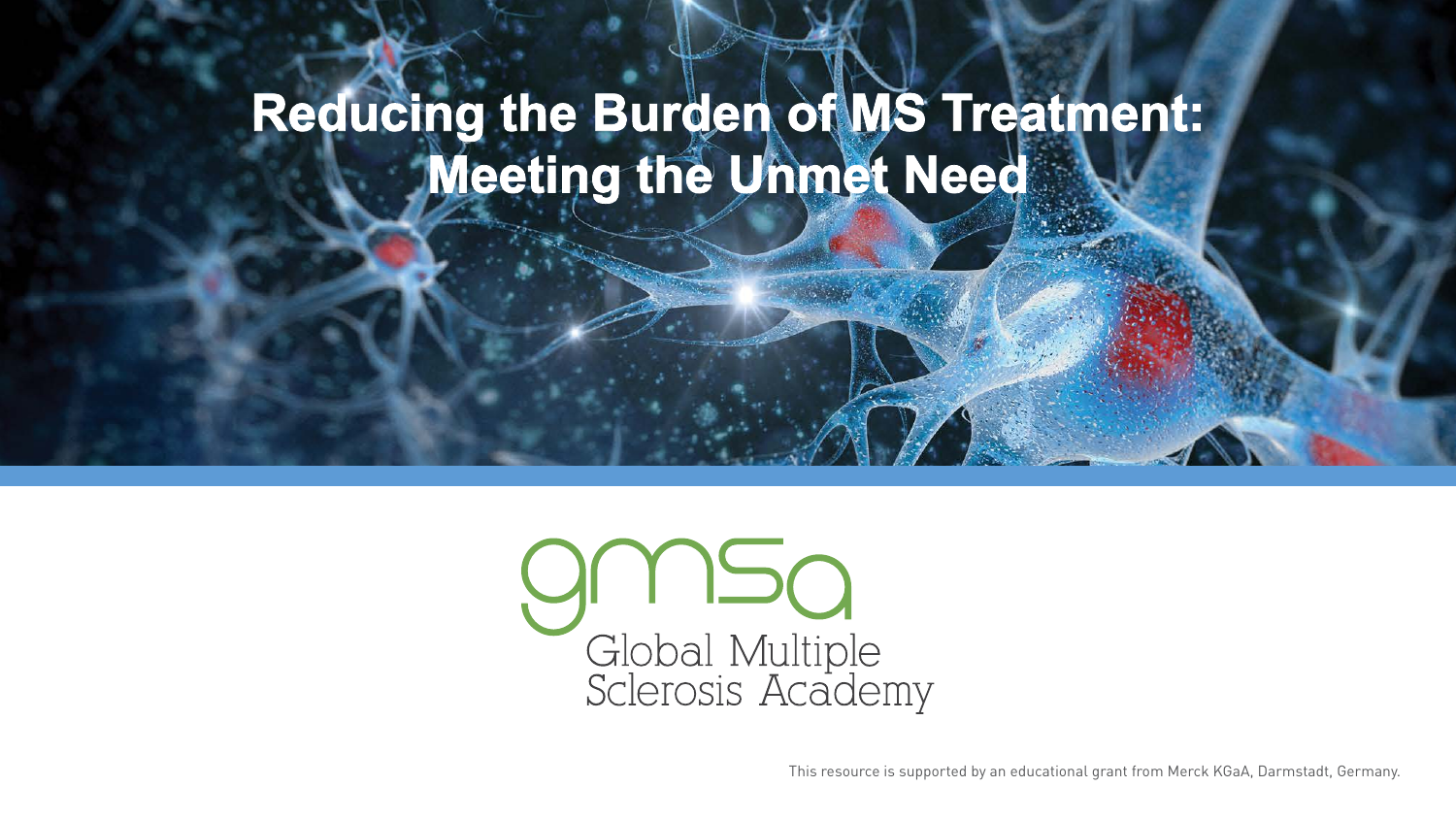# Reducing the Burden of MS Treatment:<br>Meeting the Unmet Need



This resource is supported by an educational grant from Merck KGaA, Darmstadt, Germany.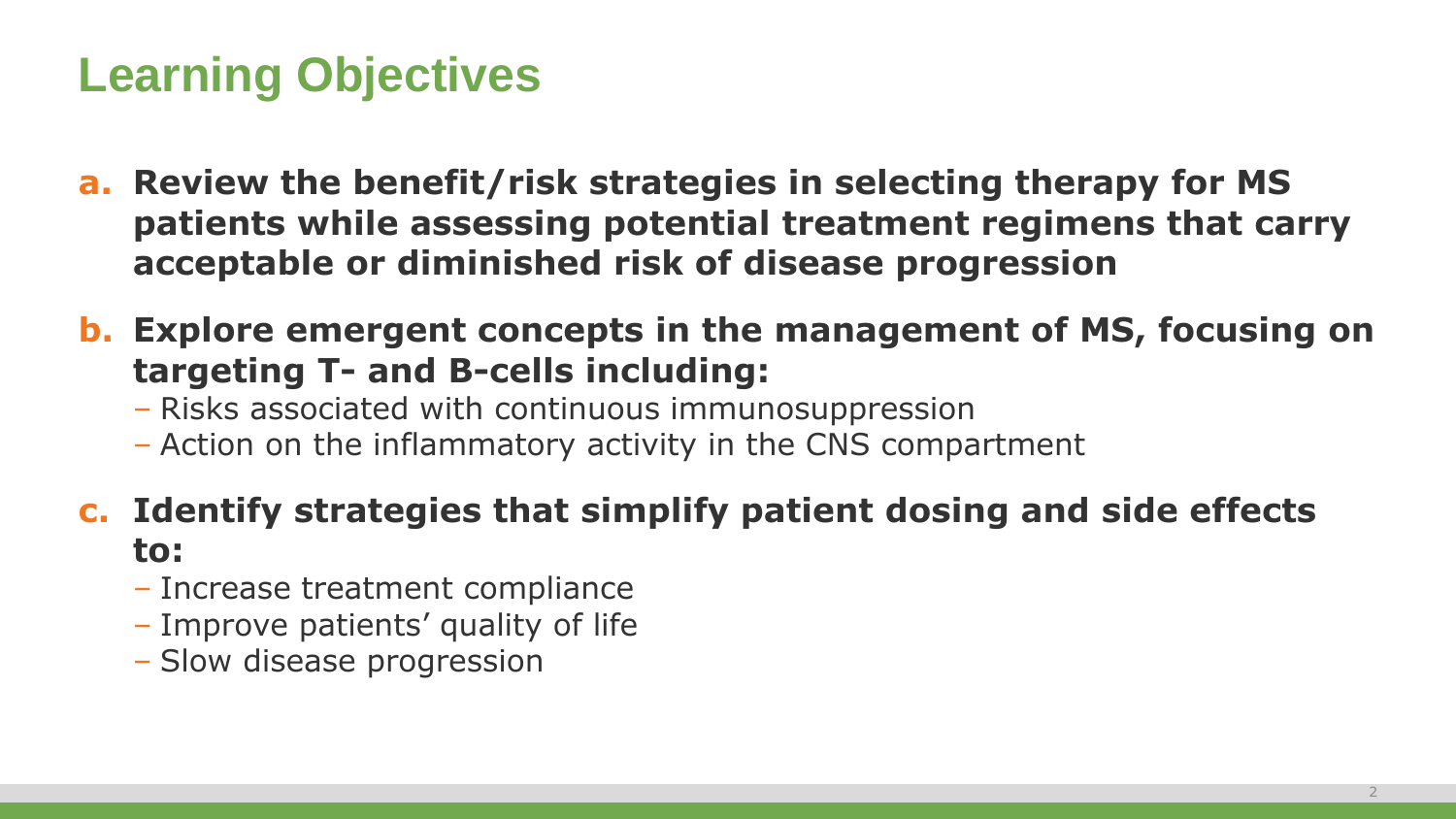#### **Learning Objectives**

- **a. Review the benefit/risk strategies in selecting therapy for MS patients while assessing potential treatment regimens that carry acceptable or diminished risk of disease progression**
- **b. Explore emergent concepts in the management of MS, focusing on targeting T- and B-cells including:**
	- Risks associated with continuous immunosuppression
	- Action on the inflammatory activity in the CNS compartment
- **c. Identify strategies that simplify patient dosing and side effects to:**
	- Increase treatment compliance
	- Improve patients' quality of life
	- Slow disease progression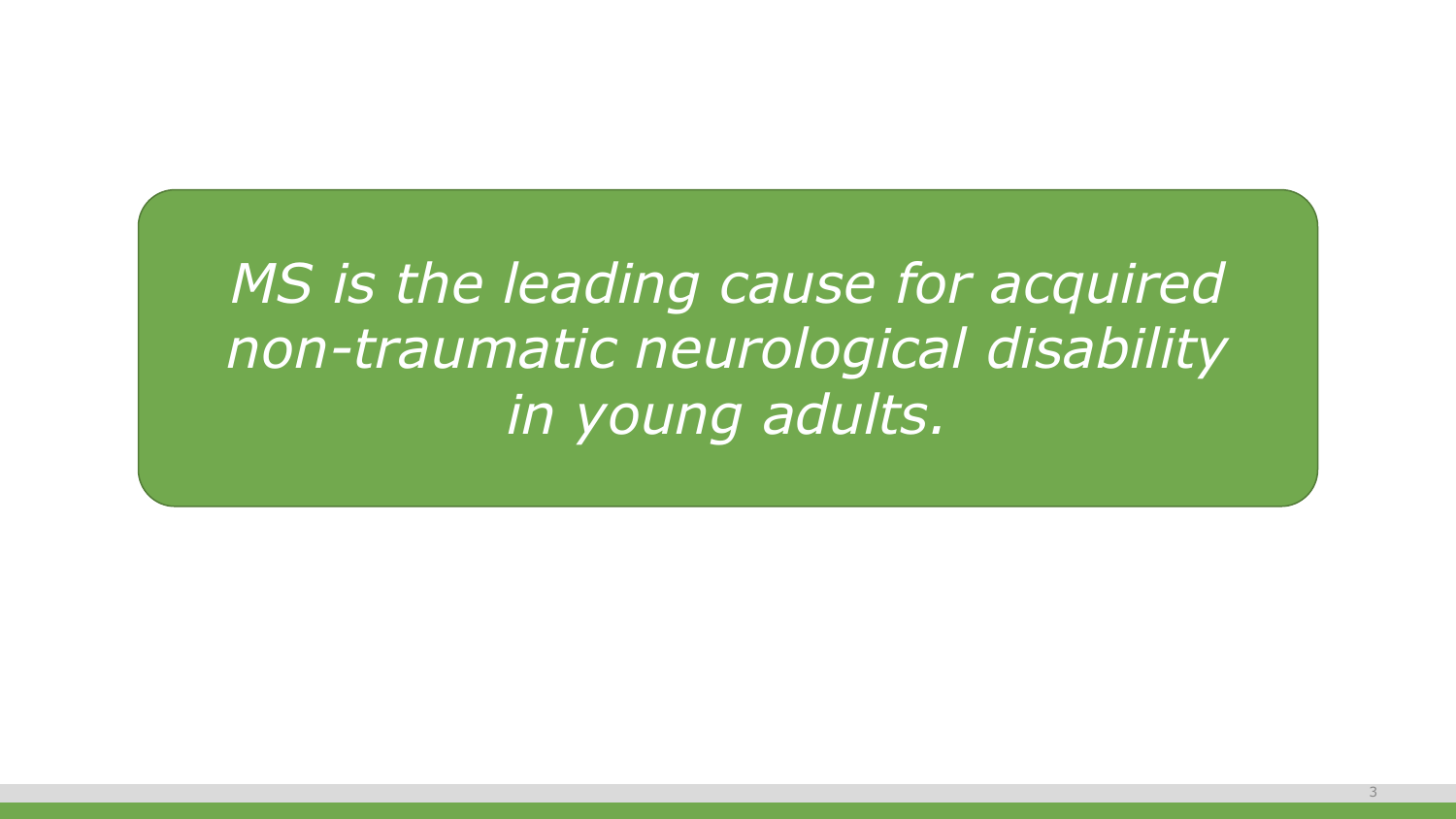*MS is the leading cause for acquired non-traumatic neurological disability in young adults.*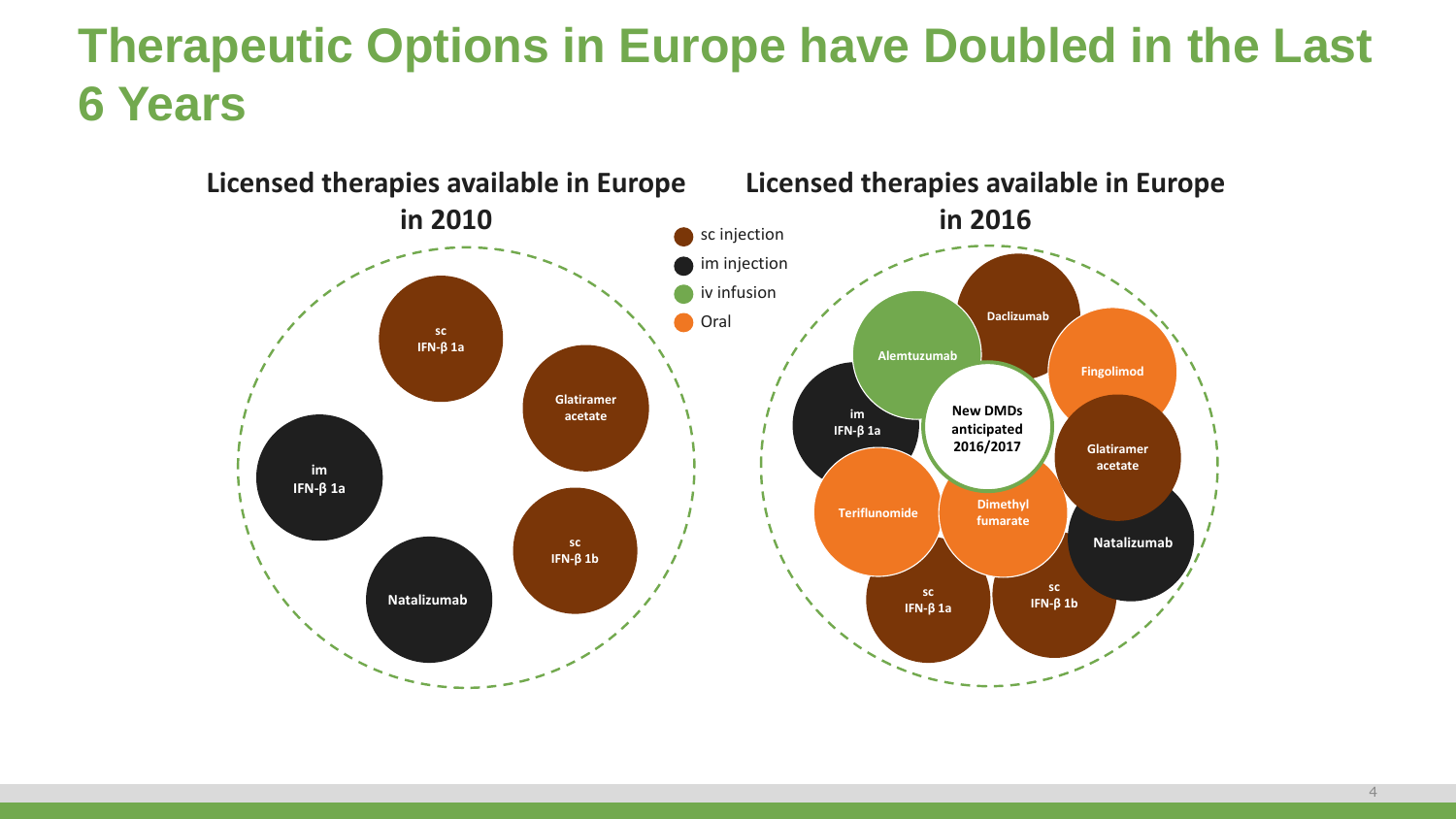## **Therapeutic Options in Europe have Doubled in the Last 6 Years**

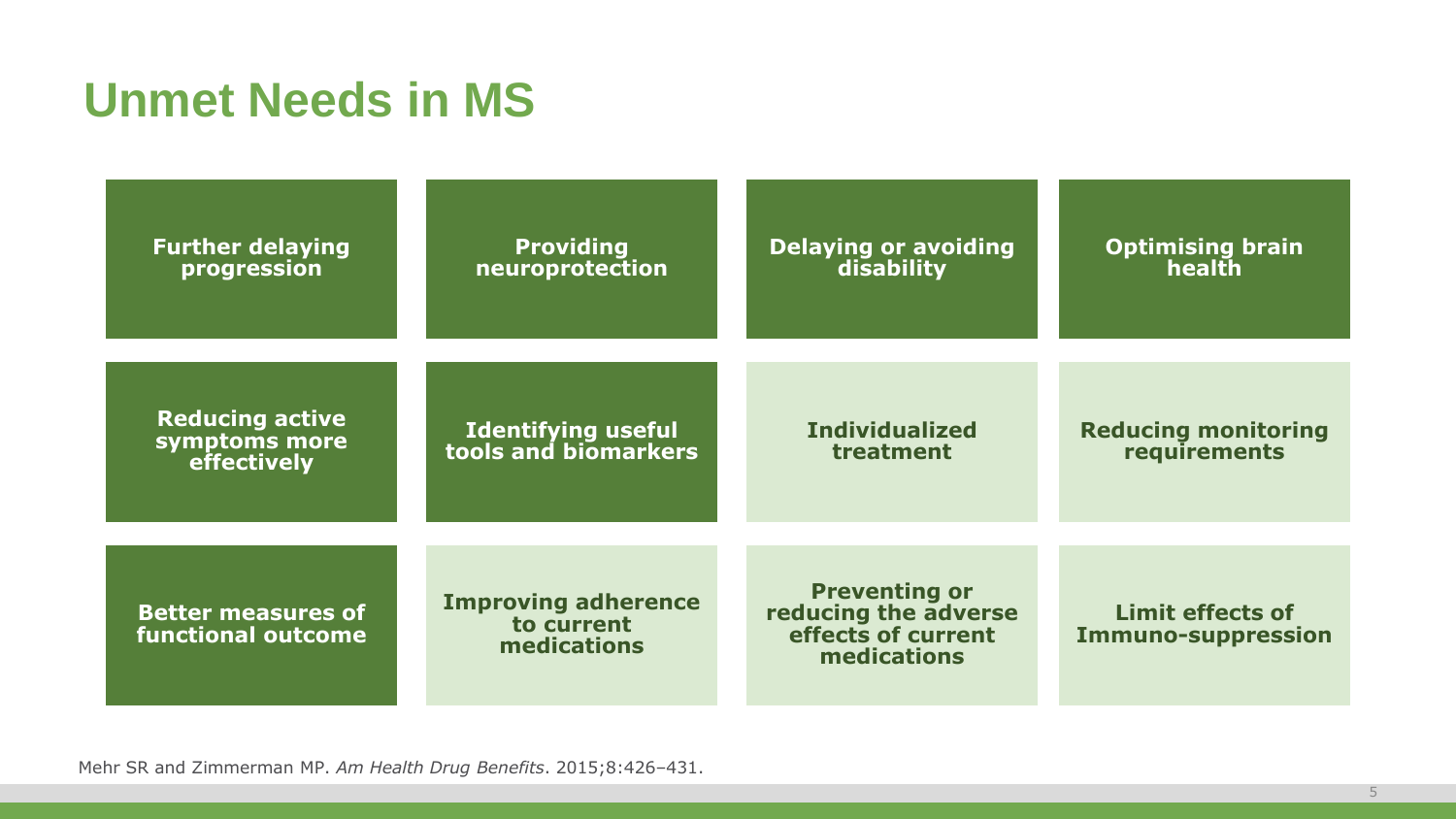## **Unmet Needs in MS**

| <b>Further delaying</b><br>progression                 | <b>Providing</b><br>neuroprotection                     | <b>Delaying or avoiding</b><br>disability                                         | <b>Optimising brain</b><br>health                    |  |  |
|--------------------------------------------------------|---------------------------------------------------------|-----------------------------------------------------------------------------------|------------------------------------------------------|--|--|
| <b>Reducing active</b><br>symptoms more<br>effectively | <b>Identifying useful</b><br>tools and biomarkers       | <b>Individualized</b><br>treatment                                                | <b>Reducing monitoring</b><br>requirements           |  |  |
| <b>Better measures of</b><br><b>functional outcome</b> | <b>Improving adherence</b><br>to current<br>medications | <b>Preventing or</b><br>reducing the adverse<br>effects of current<br>medications | <b>Limit effects of</b><br><b>Immuno-suppression</b> |  |  |

Mehr SR and Zimmerman MP. *Am Health Drug Benefits*. 2015;8:426–431.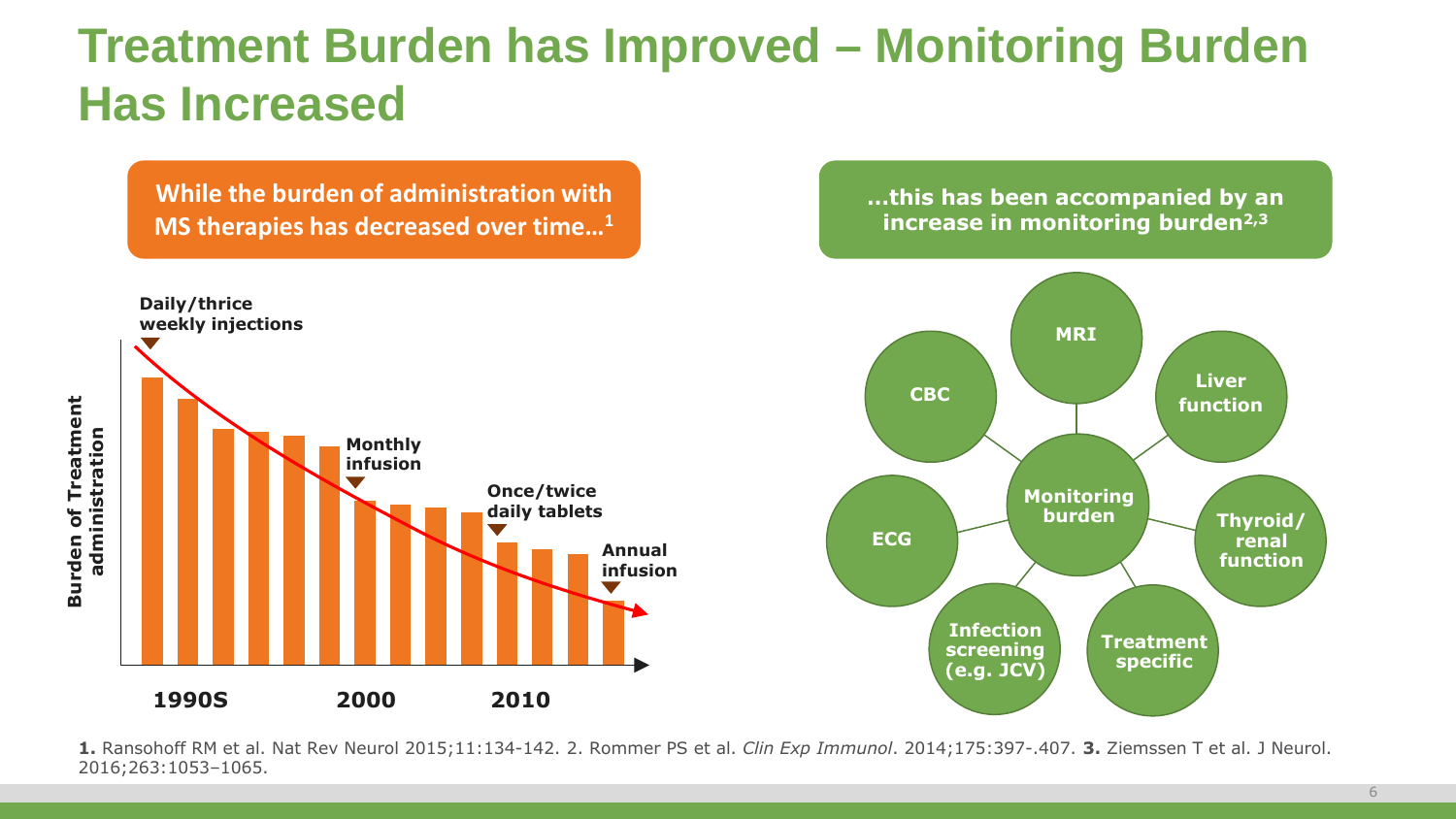#### **Treatment Burden has Improved – Monitoring Burden Has Increased**

**While the burden of administration with MS therapies has decreased over time…1**

**…this has been accompanied by an increase in monitoring burden2,3**



**1.** Ransohoff RM et al. Nat Rev Neurol 2015;11:134-142. 2. Rommer PS et al. *Clin Exp Immunol*. 2014;175:397-.407. **3.** Ziemssen T et al. J Neurol.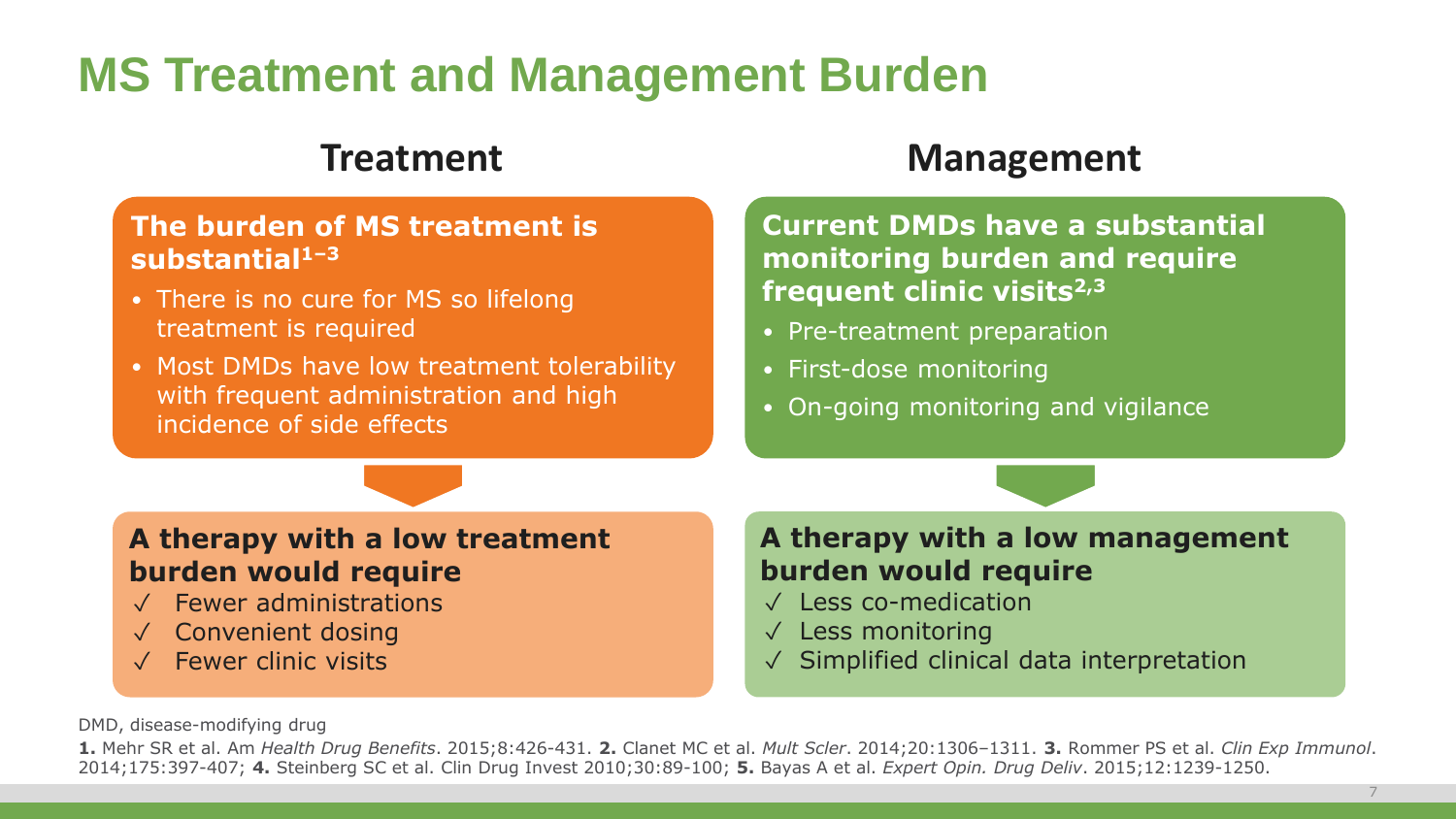## **MS Treatment and Management Burden**

#### **The burden of MS treatment is substantial1–3**

- There is no cure for MS so lifelong treatment is required
- Most DMDs have low treatment tolerability with frequent administration and high incidence of side effects

#### **Treatment Management**

**Current DMDs have a substantial monitoring burden and require frequent clinic visits2,3**

- Pre-treatment preparation
- First-dose monitoring
- On-going monitoring and vigilance

#### **A therapy with a low treatment burden would require**

- ✓ Fewer administrations
- ✓ Convenient dosing
- ✓ Fewer clinic visits

#### **A therapy with a low management burden would require**

- ✓ Less co-medication
- ✓ Less monitoring
- ✓ Simplified clinical data interpretation

DMD, disease-modifying drug

**1.** Mehr SR et al. Am *Health Drug Benefits*. 2015;8:426-431. **2.** Clanet MC et al. *Mult Scler*. 2014;20:1306–1311. **3.** Rommer PS et al. *Clin Exp Immunol*. 2014;175:397-407; **4.** Steinberg SC et al. Clin Drug Invest 2010;30:89-100; **5.** Bayas A et al. *Expert Opin. Drug Deliv*. 2015;12:1239-1250.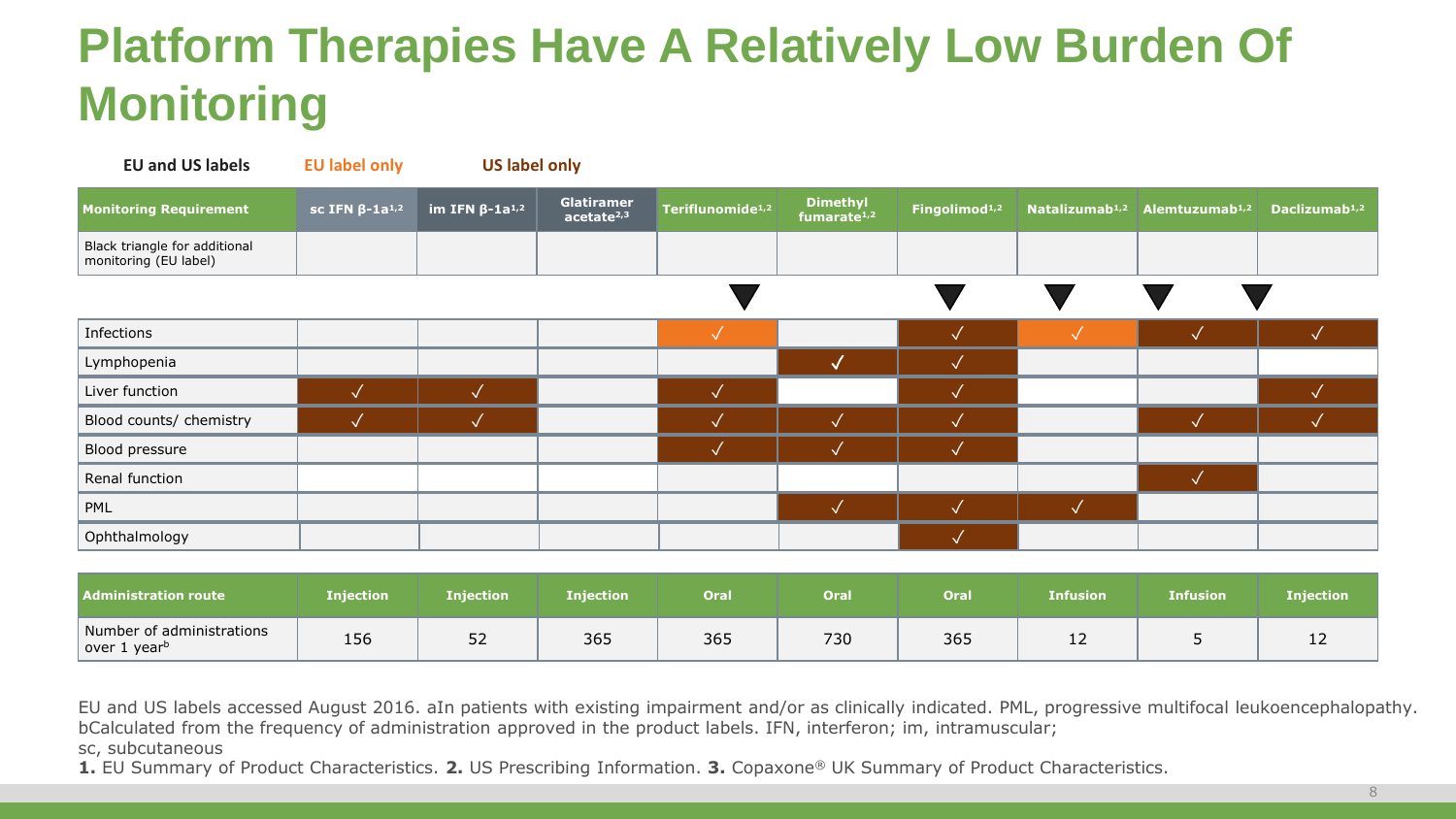## **Platform Therapies Have A Relatively Low Burden Of Monitoring**

| <b>EU and US labels</b>                                | <b>EU label only</b>              | <b>US label only</b>                                |                                      |                              |                                            |                           |                            |                            |                           |
|--------------------------------------------------------|-----------------------------------|-----------------------------------------------------|--------------------------------------|------------------------------|--------------------------------------------|---------------------------|----------------------------|----------------------------|---------------------------|
| <b>Monitoring Requirement</b>                          | sc IFN $\beta$ -1a <sup>1,2</sup> | $\overline{\phantom{a}}$ im IFN β-1a <sup>1,2</sup> | Glatiramer<br>acetate <sup>2,3</sup> | Teriflunomide <sup>1,2</sup> | <b>Dimethyl</b><br>fumarate <sup>1,2</sup> | Fingolimod <sup>1,2</sup> | Natalizumab <sup>1,2</sup> | Alemtuzumab <sup>1,2</sup> | Daclizumab <sup>1,2</sup> |
| Black triangle for additional<br>monitoring (EU label) |                                   |                                                     |                                      |                              |                                            |                           |                            |                            |                           |
|                                                        |                                   |                                                     |                                      |                              |                                            |                           |                            |                            |                           |
| Infections                                             |                                   |                                                     |                                      | $\checkmark$                 |                                            | $\sqrt{}$                 | $\sqrt{}$                  | $\overline{\mathcal{A}}$   |                           |
| Lymphopenia                                            |                                   |                                                     |                                      |                              |                                            |                           |                            |                            |                           |
| Liver function                                         | $\overline{\mathcal{A}}$          | $\sqrt{}$                                           |                                      | $\sqrt{}$                    |                                            | $\sqrt{}$                 |                            |                            |                           |
| Blood counts/ chemistry                                |                                   |                                                     |                                      |                              |                                            |                           |                            | $\sim$                     |                           |
| Blood pressure                                         |                                   |                                                     |                                      | $\sqrt{}$                    | $\sqrt{}$                                  | √                         |                            |                            |                           |
| Renal function                                         |                                   |                                                     |                                      |                              |                                            |                           |                            | $\sim$                     |                           |
| PML                                                    |                                   |                                                     |                                      |                              | $\sqrt{}$                                  | $\sqrt{ }$                | $\sqrt{}$                  |                            |                           |
| Ophthalmology                                          |                                   |                                                     |                                      |                              |                                            | $\sqrt{}$                 |                            |                            |                           |

| <b>Administration route</b>                           | <b>Injection</b> | Injection | <b>Injection</b> | Oral | Oral | <b>Oral</b> | <b>Infusion</b> | <b>Infusion</b> | <b>Injection</b> |
|-------------------------------------------------------|------------------|-----------|------------------|------|------|-------------|-----------------|-----------------|------------------|
| Number of administrations<br>over 1 year <sup>b</sup> | 156              | −っ<br>52  | 365              | 365  | 730  | 365         | <u>.</u>        |                 | ᆠ                |

EU and US labels accessed August 2016. aIn patients with existing impairment and/or as clinically indicated. PML, progressive multifocal leukoencephalopathy. bCalculated from the frequency of administration approved in the product labels. IFN, interferon; im, intramuscular;

sc, subcutaneous

**1.** EU Summary of Product Characteristics. **2.** US Prescribing Information. **3.** Copaxone® UK Summary of Product Characteristics.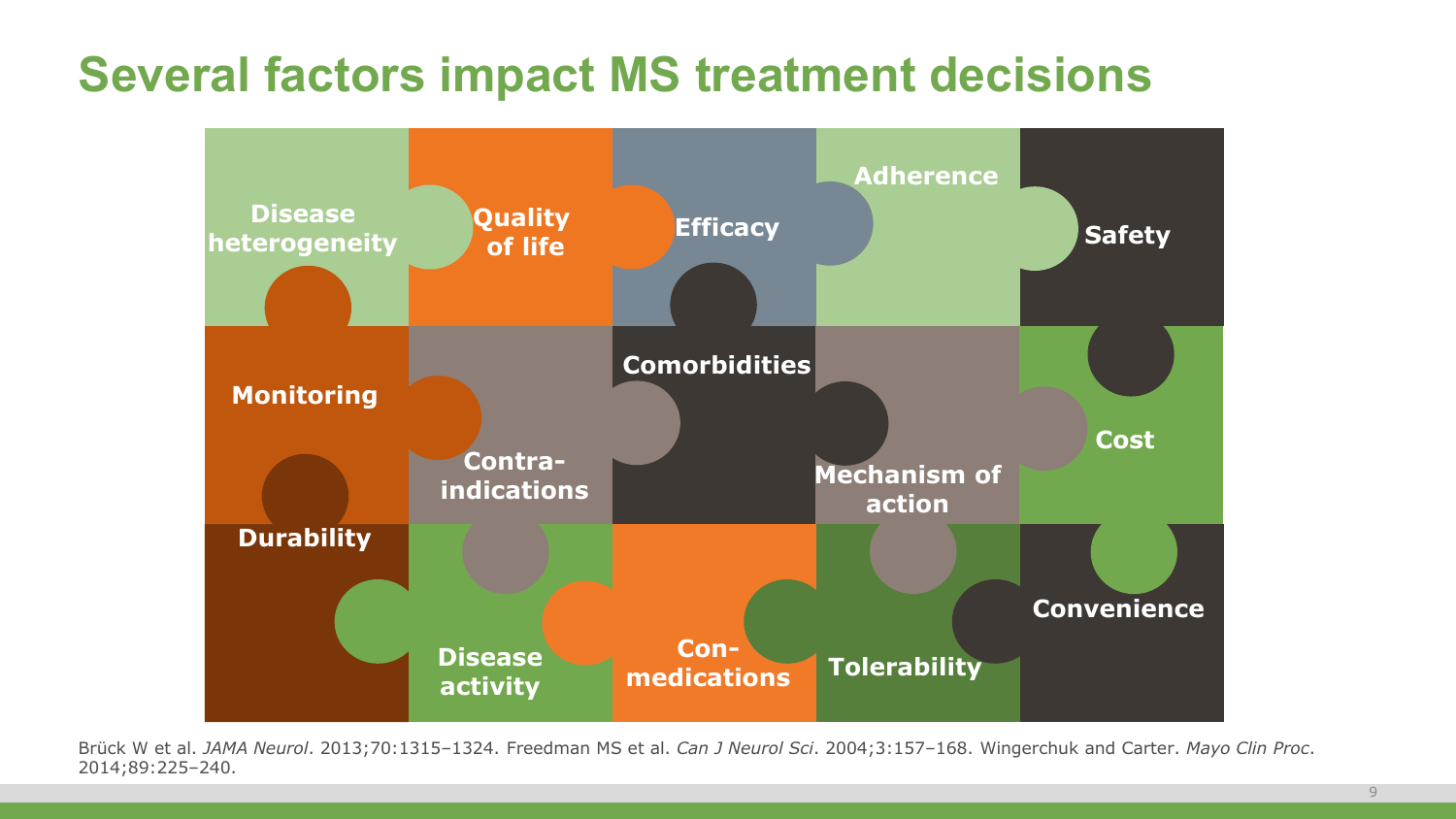#### **Several factors impact MS treatment decisions**



Brück W et al. *JAMA Neurol*. 2013;70:1315–1324. Freedman MS et al. *Can J Neurol Sci*. 2004;3:157–168. Wingerchuk and Carter. *Mayo Clin Proc*. 2014;89:225–240.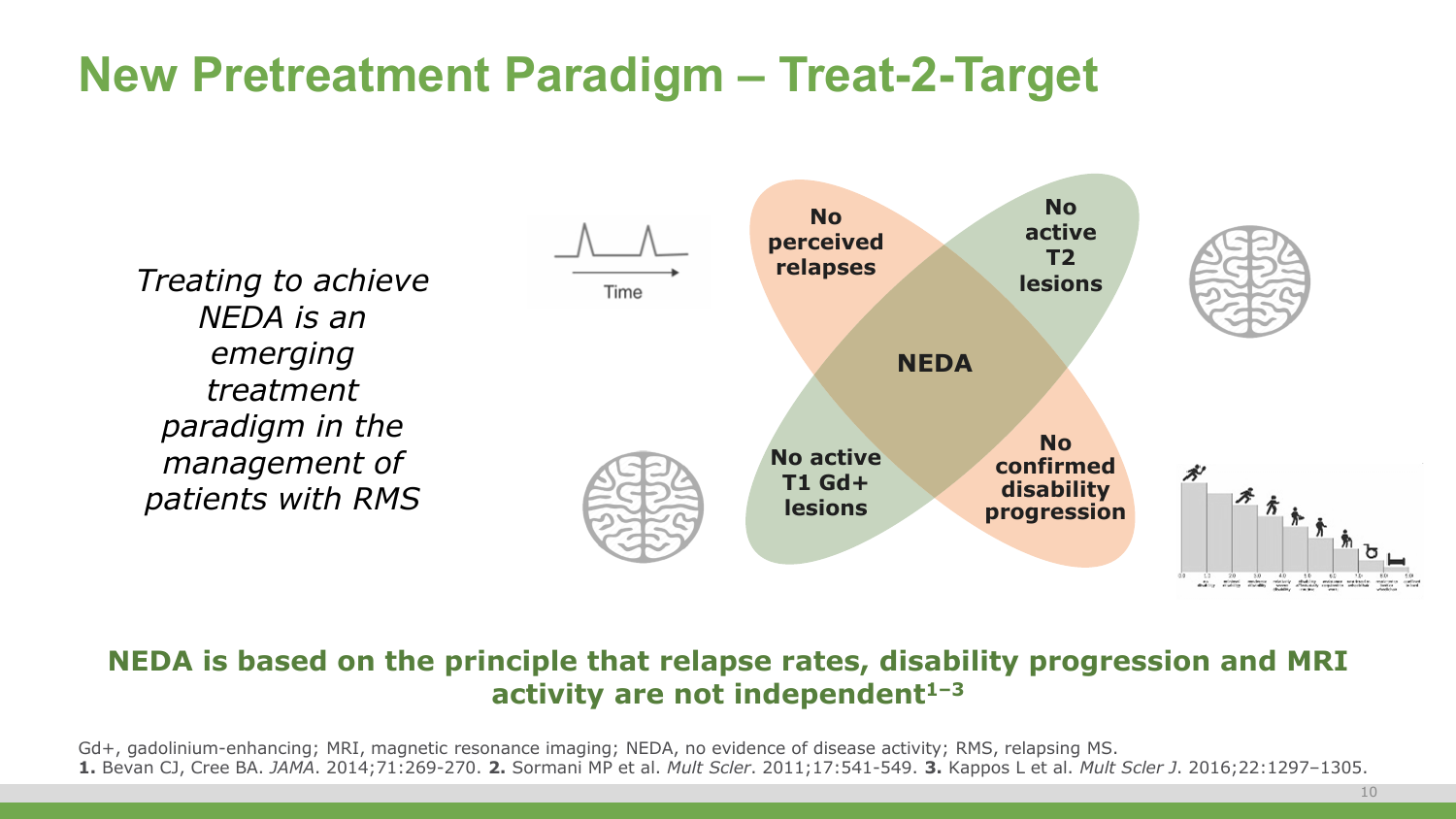## **New Pretreatment Paradigm – Treat-2-Target**

*Treating to achieve NEDA is an emerging treatment paradigm in the management of patients with RMS*



#### **NEDA is based on the principle that relapse rates, disability progression and MRI activity are not independent1–3**

Gd+, gadolinium-enhancing; MRI, magnetic resonance imaging; NEDA, no evidence of disease activity; RMS, relapsing MS. **1.** Bevan CJ, Cree BA. *JAMA*. 2014;71:269-270. **2.** Sormani MP et al. *Mult Scler*. 2011;17:541-549. **3.** Kappos L et al. *Mult Scler J*. 2016;22:1297–1305.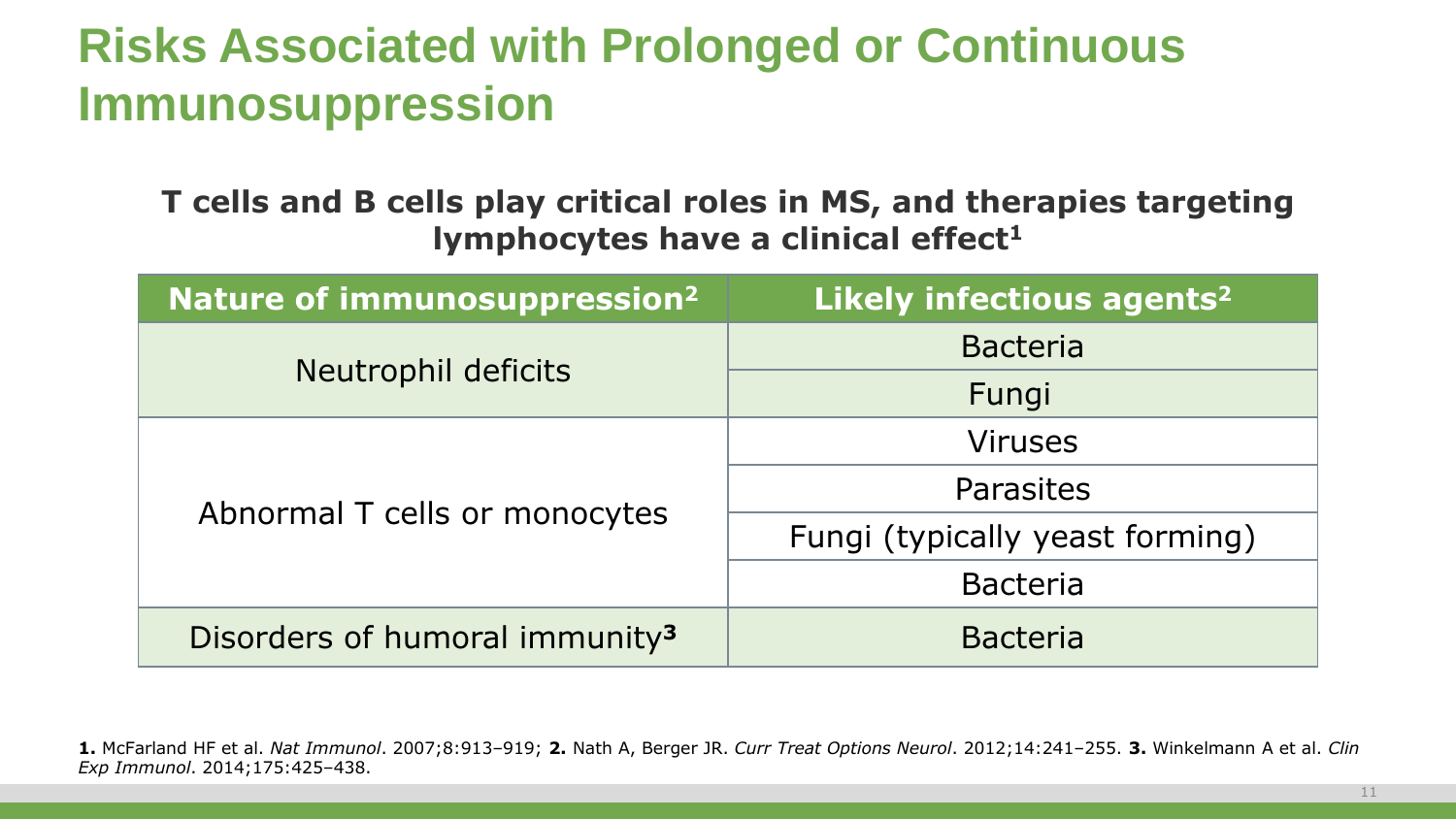## **Risks Associated with Prolonged or Continuous Immunosuppression**

**T cells and B cells play critical roles in MS, and therapies targeting lymphocytes have a clinical effect<sup>1</sup>** 

| Nature of immunosuppression <sup>2</sup>   | Likely infectious agents <sup>2</sup> |  |  |  |  |  |
|--------------------------------------------|---------------------------------------|--|--|--|--|--|
|                                            | <b>Bacteria</b>                       |  |  |  |  |  |
| Neutrophil deficits                        | Fungi                                 |  |  |  |  |  |
|                                            | <b>Viruses</b>                        |  |  |  |  |  |
|                                            | <b>Parasites</b>                      |  |  |  |  |  |
| Abnormal T cells or monocytes              | Fungi (typically yeast forming)       |  |  |  |  |  |
|                                            | <b>Bacteria</b>                       |  |  |  |  |  |
| Disorders of humoral immunity <sup>3</sup> | <b>Bacteria</b>                       |  |  |  |  |  |

**1.** McFarland HF et al. *Nat Immunol*. 2007;8:913–919; **2.** Nath A, Berger JR. *Curr Treat Options Neurol*. 2012;14:241–255. **3.** Winkelmann A et al. *Clin Exp Immunol*. 2014;175:425–438.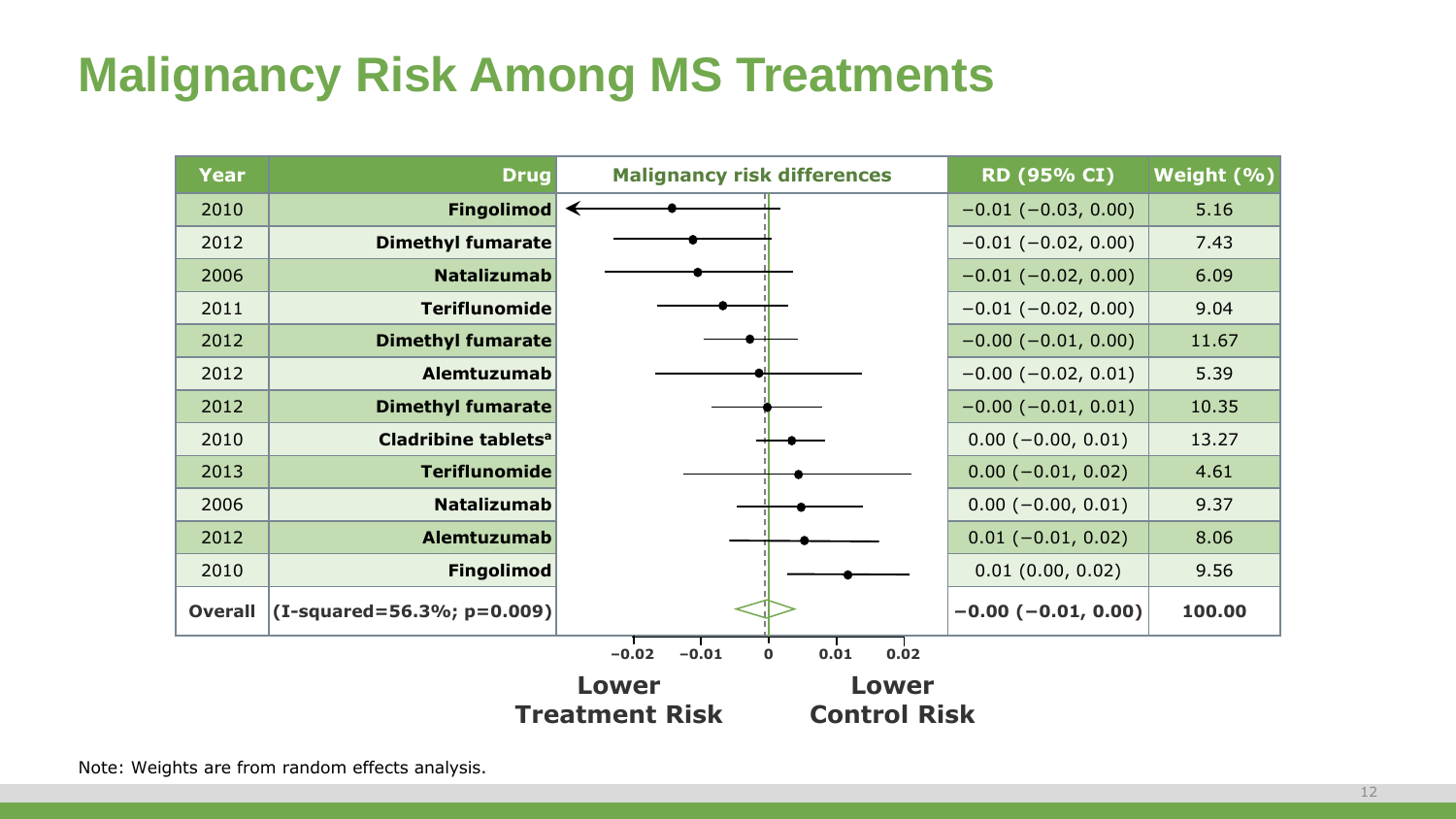## **Malignancy Risk Among MS Treatments**

| <b>Year</b>    | <b>Drug</b>                        | <b>Malignancy risk differences</b>                | RD (95% CI)               | Weight (%) |
|----------------|------------------------------------|---------------------------------------------------|---------------------------|------------|
| 2010           | <b>Fingolimod</b>                  |                                                   | $-0.01$ ( $-0.03$ , 0.00) | 5.16       |
| 2012           | <b>Dimethyl fumarate</b>           |                                                   | $-0.01$ ( $-0.02$ , 0.00) | 7.43       |
| 2006           | <b>Natalizumab</b>                 |                                                   | $-0.01$ ( $-0.02$ , 0.00) | 6.09       |
| 2011           | <b>Teriflunomide</b>               |                                                   | $-0.01$ ( $-0.02$ , 0.00) | 9.04       |
| 2012           | <b>Dimethyl fumarate</b>           |                                                   | $-0.00$ ( $-0.01$ , 0.00) | 11.67      |
| 2012           | Alemtuzumab                        |                                                   | $-0.00$ ( $-0.02$ , 0.01) | 5.39       |
| 2012           | <b>Dimethyl fumarate</b>           |                                                   | $-0.00$ ( $-0.01$ , 0.01) | 10.35      |
| 2010           | Cladribine tablets <sup>a</sup>    |                                                   | $0.00 (-0.00, 0.01)$      | 13.27      |
| 2013           | <b>Teriflunomide</b>               |                                                   | $0.00 (-0.01, 0.02)$      | 4.61       |
| 2006           | <b>Natalizumab</b>                 |                                                   | $0.00 (-0.00, 0.01)$      | 9.37       |
| 2012           | Alemtuzumab                        |                                                   | $0.01 (-0.01, 0.02)$      | 8.06       |
| 2010           | <b>Fingolimod</b>                  |                                                   | 0.01(0.00, 0.02)          | 9.56       |
| <b>Overall</b> | $ $ (I-squared=56.3%; p=0.009) $ $ |                                                   | $-0.00$ ( $-0.01$ , 0.00) | 100.00     |
|                |                                    | $-0.02$<br>$-0.01$<br>0.02<br>$\mathbf 0$<br>0.01 |                           |            |
|                |                                    | Lower<br>Lower                                    |                           |            |
|                |                                    | <b>Treatment Risk</b><br><b>Control Risk</b>      |                           |            |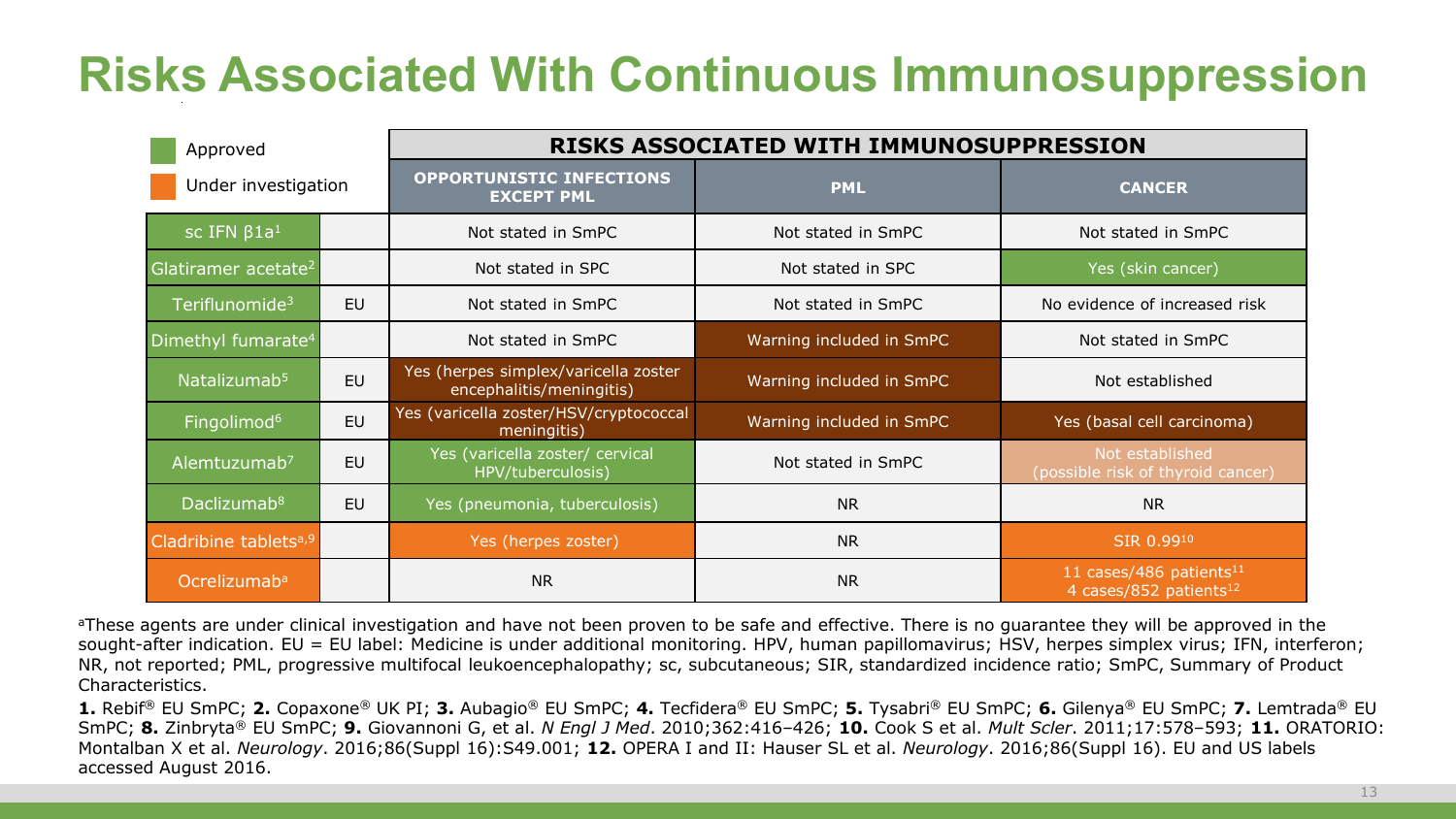## **Risks Associated With Continuous Immunosuppression**

| Approved                          |           | RISKS ASSOCIATED WITH IMMUNOSUPPRESSION                          |                          |                                                                           |  |  |  |  |  |  |  |  |
|-----------------------------------|-----------|------------------------------------------------------------------|--------------------------|---------------------------------------------------------------------------|--|--|--|--|--|--|--|--|
| Under investigation               |           | <b>OPPORTUNISTIC INFECTIONS</b><br><b>EXCEPT PML</b>             | <b>PML</b>               | <b>CANCER</b>                                                             |  |  |  |  |  |  |  |  |
| sc IFN $\beta$ 1a <sup>1</sup>    |           | Not stated in SmPC                                               | Not stated in SmPC       | Not stated in SmPC                                                        |  |  |  |  |  |  |  |  |
| Glatiramer acetate <sup>2</sup>   |           | Not stated in SPC                                                | Not stated in SPC        | Yes (skin cancer)                                                         |  |  |  |  |  |  |  |  |
| Teriflunomide <sup>3</sup>        | <b>EU</b> | Not stated in SmPC                                               | Not stated in SmPC       | No evidence of increased risk                                             |  |  |  |  |  |  |  |  |
| Dimethyl fumarate <sup>4</sup>    |           | Not stated in SmPC                                               | Warning included in SmPC | Not stated in SmPC                                                        |  |  |  |  |  |  |  |  |
| Natalizumab <sup>5</sup>          | EU        | Yes (herpes simplex/varicella zoster<br>encephalitis/meningitis) | Warning included in SmPC | Not established                                                           |  |  |  |  |  |  |  |  |
| Fingolimod <sup>6</sup>           | EU        | Yes (varicella zoster/HSV/cryptococcal<br>meningitis)            | Warning included in SmPC | Yes (basal cell carcinoma)                                                |  |  |  |  |  |  |  |  |
| Alemtuzumab <sup>7</sup>          | <b>EU</b> | Yes (varicella zoster/ cervical<br>HPV/tuberculosis)             | Not stated in SmPC       | Not established<br>(possible risk of thyroid cancer)                      |  |  |  |  |  |  |  |  |
| Daclizumab <sup>8</sup>           | <b>EU</b> | Yes (pneumonia, tuberculosis)                                    | <b>NR</b>                | <b>NR</b>                                                                 |  |  |  |  |  |  |  |  |
| Cladribine tablets <sup>a,9</sup> |           | Yes (herpes zoster)                                              | <b>NR</b>                | SIR 0.9910                                                                |  |  |  |  |  |  |  |  |
| Ocrelizumab <sup>a</sup>          |           | <b>NR</b>                                                        | <b>NR</b>                | 11 cases/486 patients <sup>11</sup><br>4 cases/852 patients <sup>12</sup> |  |  |  |  |  |  |  |  |

<sup>a</sup>These agents are under clinical investigation and have not been proven to be safe and effective. There is no quarantee they will be approved in the sought-after indication. EU = EU label: Medicine is under additional monitoring. HPV, human papillomavirus; HSV, herpes simplex virus; IFN, interferon; NR, not reported; PML, progressive multifocal leukoencephalopathy; sc, subcutaneous; SIR, standardized incidence ratio; SmPC, Summary of Product Characteristics.

**1.** Rebif® EU SmPC; **2.** Copaxone® UK PI; **3.** Aubagio® EU SmPC; **4.** Tecfidera® EU SmPC; **5.** Tysabri® EU SmPC; **6.** Gilenya® EU SmPC; **7.** Lemtrada® EU SmPC; **8.** Zinbryta® EU SmPC; **9.** Giovannoni G, et al. *N Engl J Med*. 2010;362:416–426; **10.** Cook S et al. *Mult Scler*. 2011;17:578–593; **11.** ORATORIO: Montalban X et al. *Neurology*. 2016;86(Suppl 16):S49.001; **12.** OPERA I and II: Hauser SL et al. *Neurology*. 2016;86(Suppl 16). EU and US labels accessed August 2016.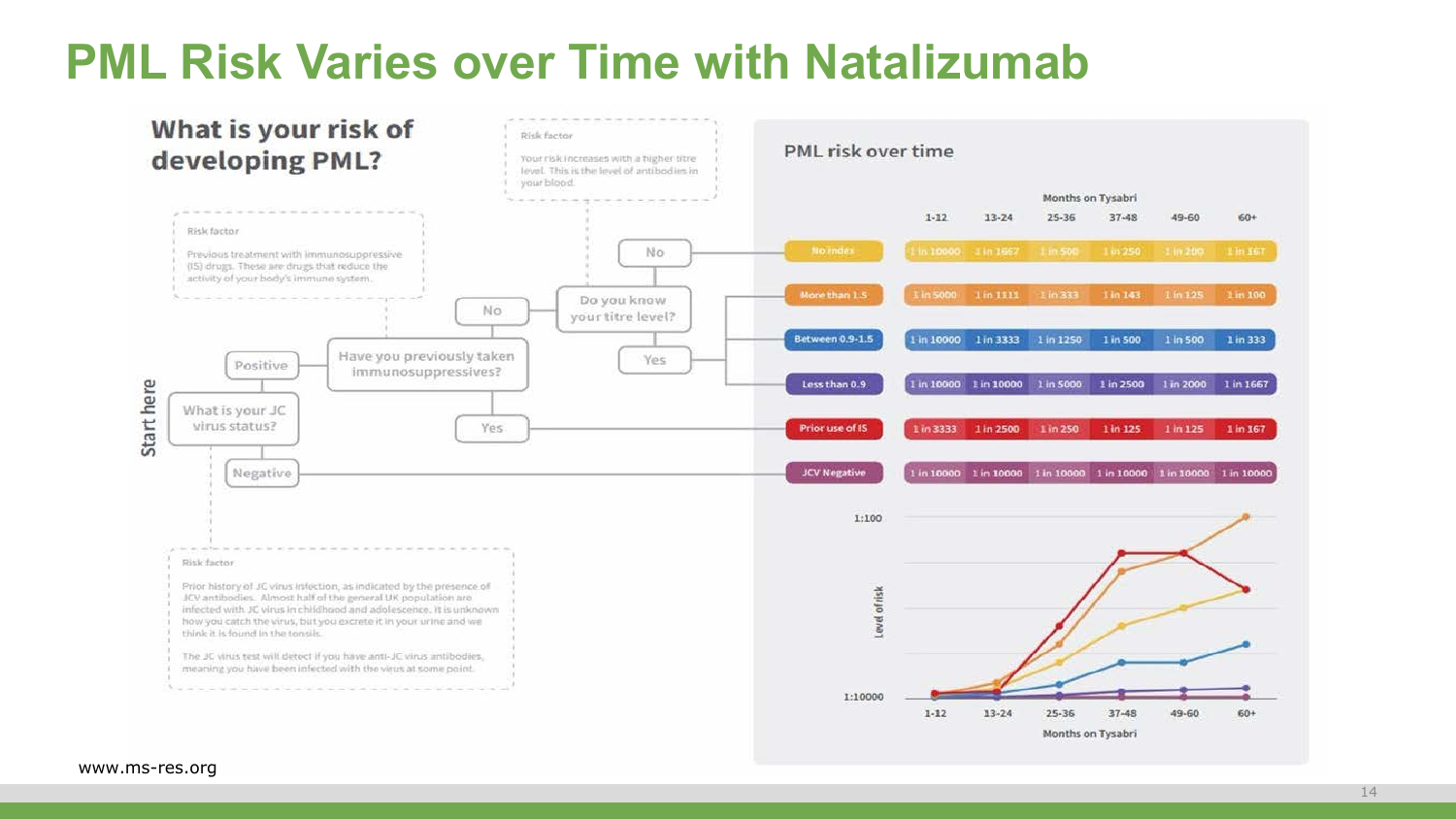#### **PML Risk Varies over Time with Natalizumab**

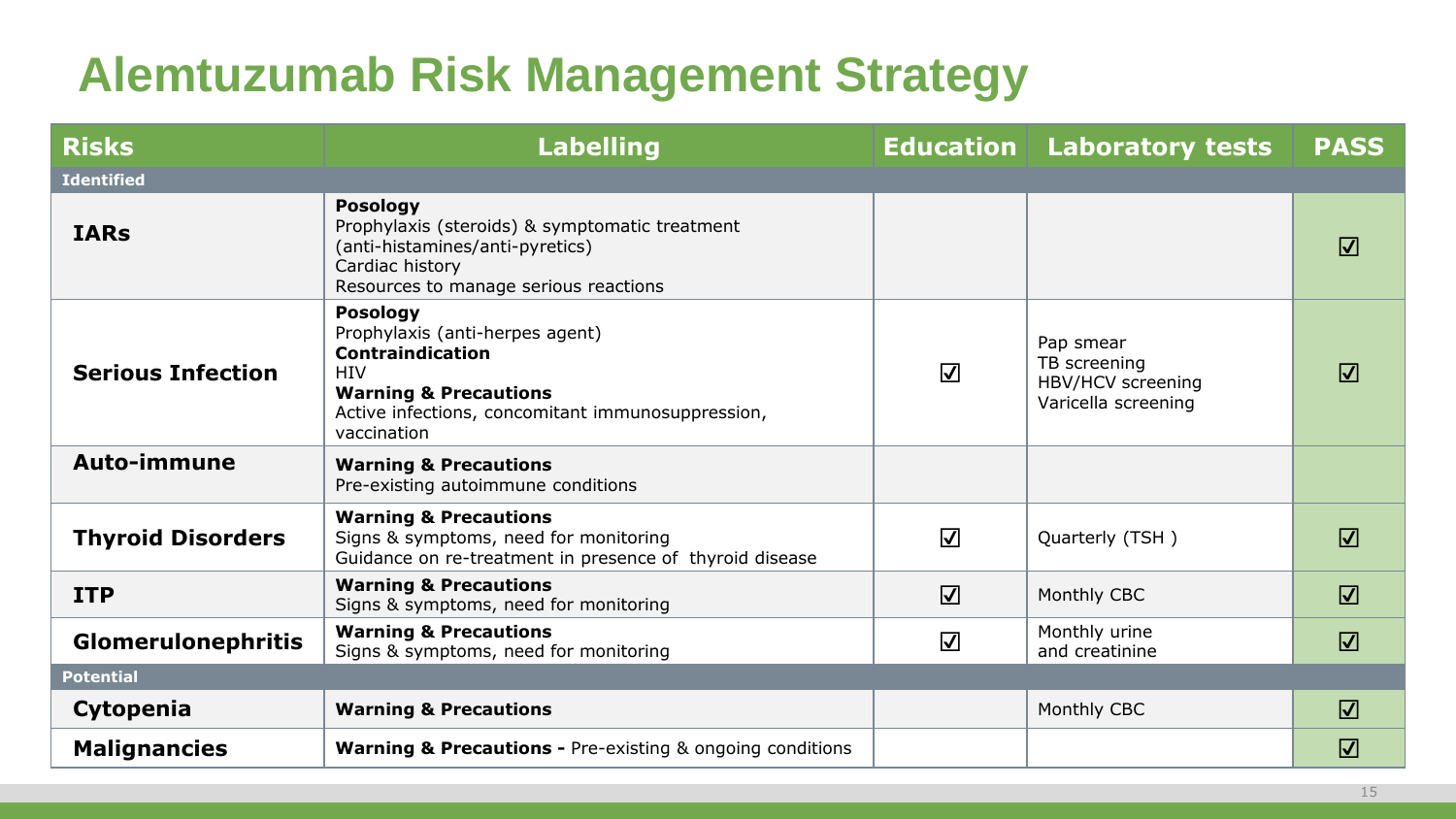## **Alemtuzumab Risk Management Strategy**

| <b>Risks</b>              | <b>Labelling</b>                                                                                                                                                                                    |                         | <b>Education Laboratory tests</b>                                     | <b>PASS</b> |
|---------------------------|-----------------------------------------------------------------------------------------------------------------------------------------------------------------------------------------------------|-------------------------|-----------------------------------------------------------------------|-------------|
| <b>Identified</b>         |                                                                                                                                                                                                     |                         |                                                                       |             |
| <b>IARs</b>               | <b>Posology</b><br>Prophylaxis (steroids) & symptomatic treatment<br>(anti-histamines/anti-pyretics)<br>Cardiac history<br>Resources to manage serious reactions                                    |                         |                                                                       | $\sqrt{ }$  |
| <b>Serious Infection</b>  | <b>Posology</b><br>Prophylaxis (anti-herpes agent)<br><b>Contraindication</b><br><b>HIV</b><br><b>Warning &amp; Precautions</b><br>Active infections, concomitant immunosuppression,<br>vaccination | $\blacktriangledown$    | Pap smear<br>TB screening<br>HBV/HCV screening<br>Varicella screening | $\sqrt{ }$  |
| <b>Auto-immune</b>        | <b>Warning &amp; Precautions</b><br>Pre-existing autoimmune conditions                                                                                                                              |                         |                                                                       |             |
| <b>Thyroid Disorders</b>  | <b>Warning &amp; Precautions</b><br>Signs & symptoms, need for monitoring<br>Guidance on re-treatment in presence of thyroid disease                                                                | $\overline{\mathbf{V}}$ | Quarterly (TSH)                                                       | $\sqrt{ }$  |
| <b>ITP</b>                | <b>Warning &amp; Precautions</b><br>Signs & symptoms, need for monitoring                                                                                                                           | $\overline{\mathsf{v}}$ | Monthly CBC                                                           | $\Delta$    |
| <b>Glomerulonephritis</b> | <b>Warning &amp; Precautions</b><br>Signs & symptoms, need for monitoring                                                                                                                           | $\blacktriangledown$    | Monthly urine<br>and creatinine                                       | $\sqrt{ }$  |
| <b>Potential</b>          |                                                                                                                                                                                                     |                         |                                                                       |             |
| Cytopenia                 | <b>Warning &amp; Precautions</b>                                                                                                                                                                    |                         | Monthly CBC                                                           | $\sqrt{ }$  |
| <b>Malignancies</b>       | <b>Warning &amp; Precautions - Pre-existing &amp; ongoing conditions</b>                                                                                                                            |                         |                                                                       | $\Delta$    |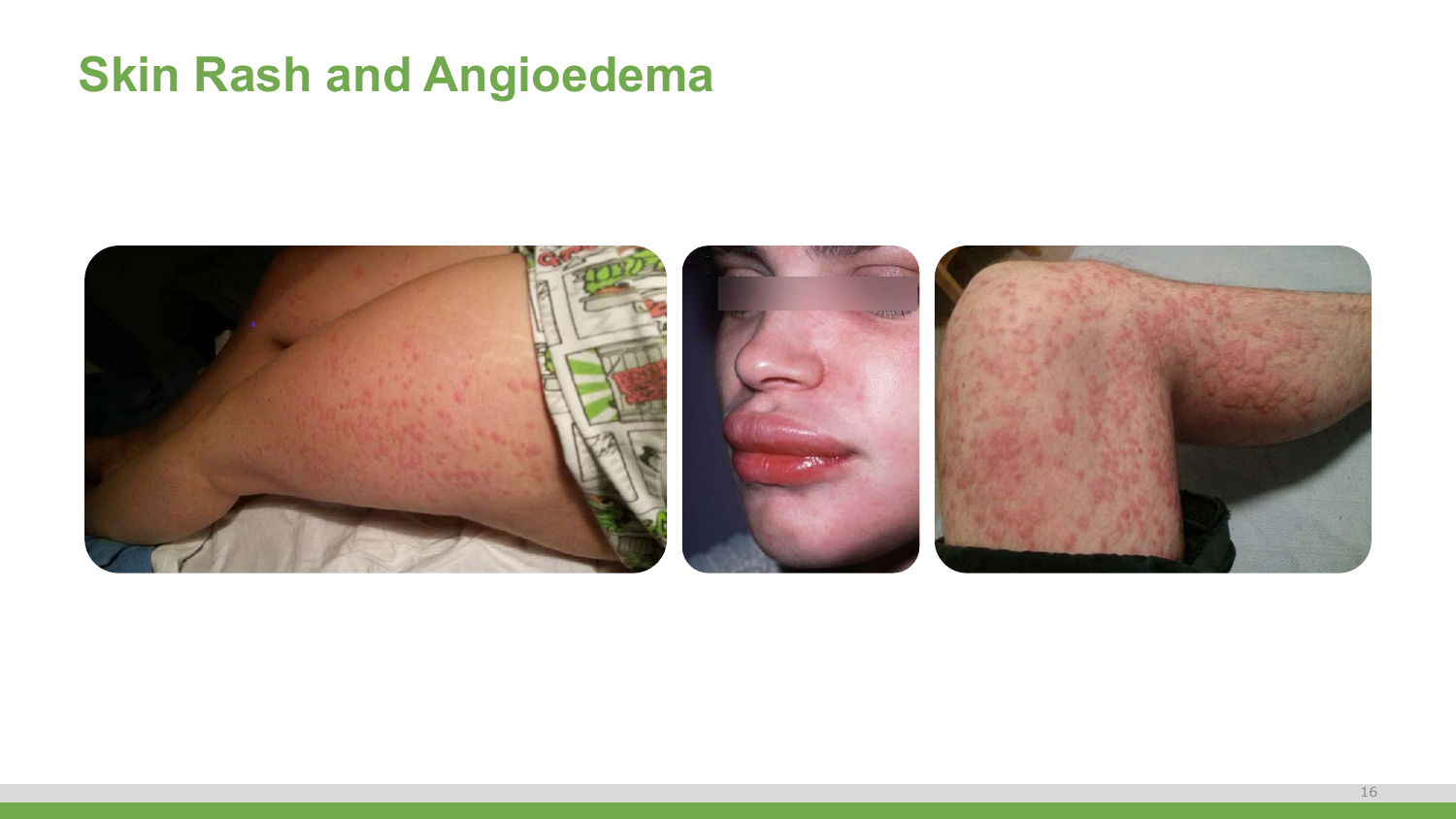#### **Skin Rash and Angioedema**

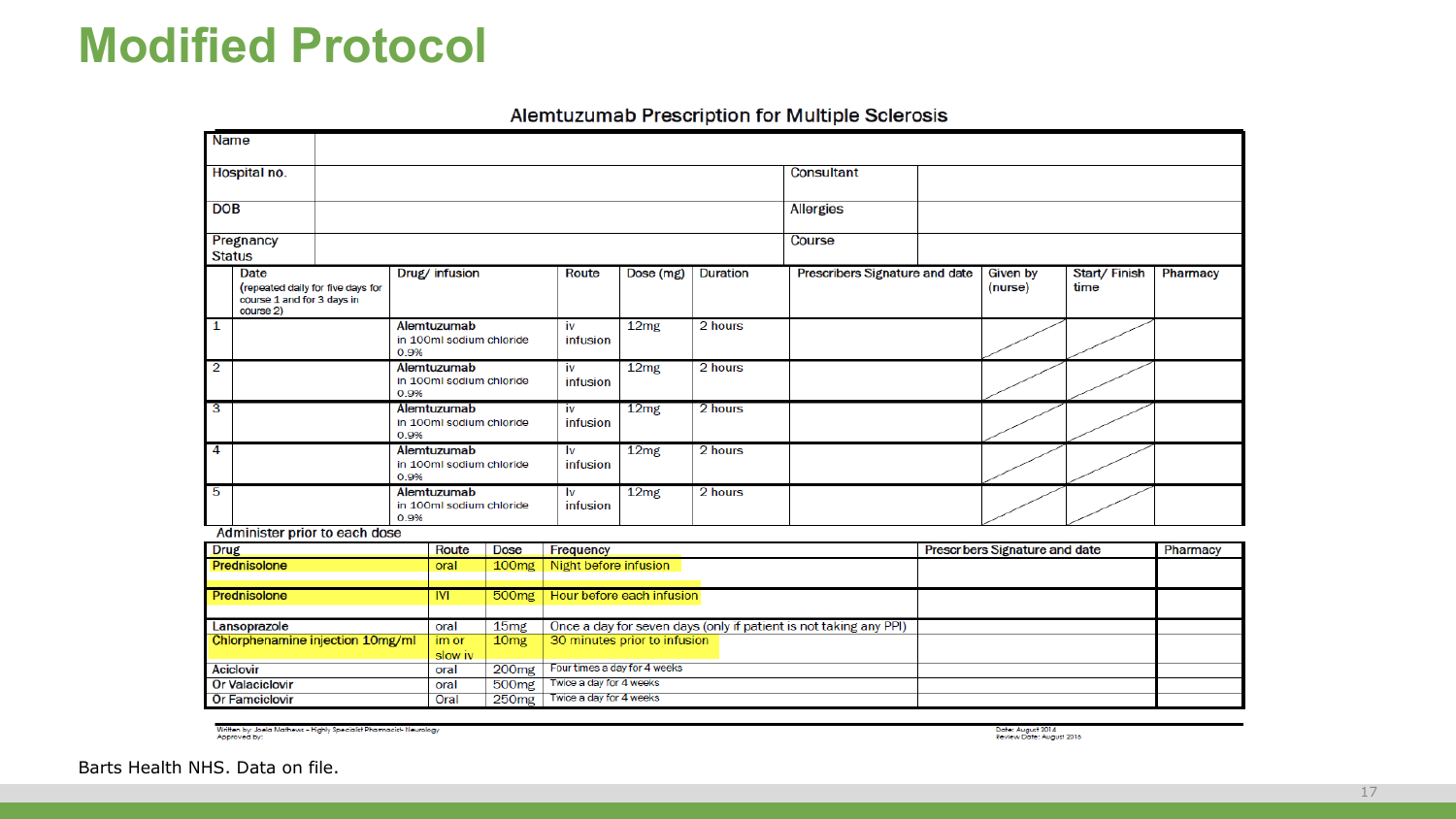#### **Modified Protocol**

| <b>Name</b>                                                                  |                                  |                                  |                   |                              |                              |                 |                                                                   |                                       |              |          |
|------------------------------------------------------------------------------|----------------------------------|----------------------------------|-------------------|------------------------------|------------------------------|-----------------|-------------------------------------------------------------------|---------------------------------------|--------------|----------|
| Hospital no.                                                                 |                                  |                                  |                   |                              |                              |                 | <b>Consultant</b>                                                 |                                       |              |          |
| <b>DOB</b>                                                                   |                                  |                                  |                   |                              |                              |                 | <b>Allergies</b>                                                  |                                       |              |          |
|                                                                              |                                  |                                  |                   |                              |                              |                 |                                                                   |                                       |              |          |
| Pregnancy                                                                    |                                  |                                  |                   |                              |                              |                 | Course                                                            |                                       |              |          |
| <b>Status</b>                                                                |                                  |                                  |                   |                              |                              |                 |                                                                   |                                       |              |          |
| Date                                                                         |                                  | Drug/ infusion                   |                   | Route                        | Dose (mg)                    | <b>Duration</b> | Prescribers Signature and date                                    | <b>Given by</b>                       | Start/Finish | Pharmacy |
| (repeated daily for five days for<br>course 1 and for 3 days in<br>course 2) |                                  |                                  |                   |                              |                              |                 |                                                                   | (nurse)                               | time         |          |
| 1                                                                            |                                  | Alemtuzumab                      |                   | iv                           | 12 <sub>mg</sub>             | 2 hours         |                                                                   |                                       |              |          |
|                                                                              | in 100ml sodium chloride<br>0.9% |                                  | infusion          |                              |                              |                 |                                                                   |                                       |              |          |
| $\overline{2}$                                                               | Alemtuzumab                      |                                  |                   | iv                           | 12mg                         | 2 hours         |                                                                   |                                       |              |          |
|                                                                              | in 100ml sodium chloride<br>0.9% |                                  |                   | infusion                     |                              |                 |                                                                   |                                       |              |          |
| $\overline{3}$<br>Alemtuzumab                                                |                                  |                                  | iv                | 12mg                         | 2 hours                      |                 |                                                                   |                                       |              |          |
|                                                                              | in 100ml sodium chloride<br>0.9% |                                  |                   | infusion                     |                              |                 |                                                                   |                                       |              |          |
| 4                                                                            |                                  | Alemtuzumab                      |                   | Iv                           | 12 <sub>mg</sub>             | 2 hours         |                                                                   |                                       |              |          |
|                                                                              |                                  | in 100ml sodium chloride<br>0.9% |                   | infusion                     |                              |                 |                                                                   |                                       |              |          |
| 5                                                                            |                                  | Alemtuzumab                      |                   | I٧                           | 12mg                         | 2 hours         |                                                                   |                                       |              |          |
|                                                                              |                                  | in 100ml sodium chloride<br>0.9% |                   | infusion                     |                              |                 |                                                                   |                                       |              |          |
| Administer prior to each dose                                                |                                  |                                  |                   |                              |                              |                 |                                                                   |                                       |              |          |
| <b>Drug</b>                                                                  |                                  | Route                            | Dose              | Frequency                    |                              |                 |                                                                   | <b>Prescribers Signature and date</b> |              | Pharmacy |
| Prednisolone                                                                 |                                  | oral                             | 100 <sub>mg</sub> | Night before infusion        |                              |                 |                                                                   |                                       |              |          |
|                                                                              |                                  |                                  |                   |                              |                              |                 |                                                                   |                                       |              |          |
| Prednisolone                                                                 |                                  | <b>IVI</b>                       | 500 <sub>mg</sub> |                              | Hour before each infusion    |                 |                                                                   |                                       |              |          |
| Lansoprazole                                                                 |                                  | oral                             | 15 <sub>mg</sub>  |                              |                              |                 | Once a day for seven days (only if patient is not taking any PPI) |                                       |              |          |
| Chlorphenamine injection 10mg/ml                                             |                                  | im or                            | 10 <sub>mg</sub>  |                              | 30 minutes prior to infusion |                 |                                                                   |                                       |              |          |
|                                                                              |                                  | slow iv                          |                   |                              |                              |                 |                                                                   |                                       |              |          |
| <b>Aciclovir</b>                                                             |                                  | oral                             | 200mg             | Four times a day for 4 weeks |                              |                 |                                                                   |                                       |              |          |
| <b>Or Valaciclovir</b>                                                       |                                  | oral                             | 500 <sub>mg</sub> | Twice a day for 4 weeks      |                              |                 |                                                                   |                                       |              |          |
| <b>Or Famciclovir</b>                                                        |                                  | Oral                             | 250 <sub>mg</sub> | Twice a day for 4 weeks      |                              |                 |                                                                   |                                       |              |          |

Alemtuzumab Prescription for Multiple Sclerosis

Written by: Joela Mathews - Highly Specialist Pharmacist-Neurology<br>Approved by:

Date: August 2014<br>Review Date: August 2016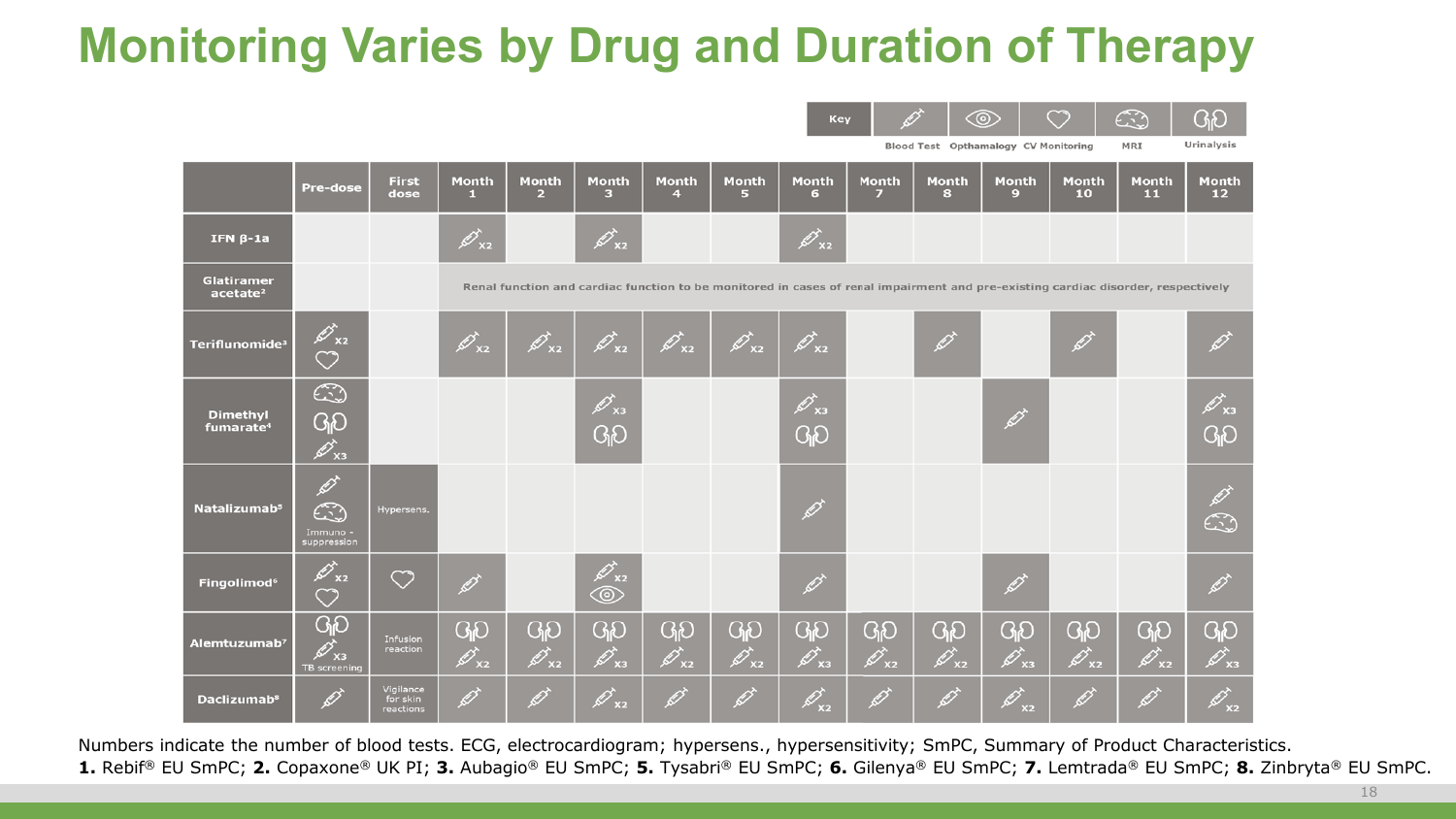## **Monitoring Varies by Drug and Duration of Therapy**

|                                           |                                                                           |                                    |                                  |                                |                                                           |                                                          |                                        | Key                                                             |                                                    |                                                      | <u>&lt;®&gt;</u>                   |                               | $\mathbb{C}$<br>MRI                                                                                                              | ပျပ<br>Urinalysis                        |
|-------------------------------------------|---------------------------------------------------------------------------|------------------------------------|----------------------------------|--------------------------------|-----------------------------------------------------------|----------------------------------------------------------|----------------------------------------|-----------------------------------------------------------------|----------------------------------------------------|------------------------------------------------------|------------------------------------|-------------------------------|----------------------------------------------------------------------------------------------------------------------------------|------------------------------------------|
|                                           |                                                                           | <b>First</b>                       | <b>Month</b>                     | <b>Month</b>                   | <b>Month</b>                                              | <b>Month</b>                                             | <b>Month</b>                           | <b>Month</b>                                                    | <b>Month</b>                                       | Blood Test Opthamalogy CV Monitoring<br><b>Month</b> | <b>Month</b>                       | <b>Month</b>                  | <b>Month</b>                                                                                                                     | <b>Month</b>                             |
|                                           | <b>Pre-dose</b>                                                           | dose                               | л.                               | $\overline{2}$                 | 3                                                         | $\overline{4}$                                           | 5                                      | 6                                                               | $\overline{ }$                                     | 8                                                    | 9                                  | 10                            | 11                                                                                                                               | 12                                       |
| IFN $\beta$ -1a                           |                                                                           |                                    | $\!\not{\!\!\! E}_{_{\sf X2}}\!$ |                                | $\mathscr{D}_\mathsf{xz}$                                 |                                                          |                                        | $\mathscr{D}_\mathtt{xz}$                                       |                                                    |                                                      |                                    |                               |                                                                                                                                  |                                          |
| <b>Glatiramer</b><br>acetate <sup>2</sup> |                                                                           |                                    |                                  |                                |                                                           |                                                          |                                        |                                                                 |                                                    |                                                      |                                    |                               | Renal function and cardiac function to be monitored in cases of renal impairment and pre-existing cardiac disorder, respectively |                                          |
| Teriflunomide <sup>3</sup>                | ♡                                                                         |                                    | $\overrightarrow{p}_{\text{x2}}$ | $\mathscr{D}_\text{x2}$        | $\mathscr{D}_\text{x2}$                                   | $\mathscr{D}_{\ge 2}$                                    | $\mathscr{D}_\mathsf{x_2}$             | $\mathscr{D}_\text{xz}$                                         |                                                    | $\mathscr{D}$                                        |                                    | $\mathscr{D}$                 |                                                                                                                                  |                                          |
| <b>Dimethyl</b><br>fumarate <sup>4</sup>  | $\mathbb{C}$<br>GO<br>$\cancel{\mathscr{A}}_{x3}$                         |                                    |                                  |                                | $\mathscr{D}_\text{x3}$<br>ၛၣ                             |                                                          |                                        | $\overrightarrow{C}_{\text{X3}}$<br>ၛၣ                          |                                                    |                                                      | Ø                                  |                               |                                                                                                                                  | $\mathscr{D}_\mathsf{x3}$<br>ၛၟ          |
| Natalizumab <sup>5</sup>                  | $\overrightarrow{\mathscr{D}}$<br>$\mathbb{C}$<br>Immuno -<br>suppression | Hypersens.                         |                                  |                                |                                                           |                                                          |                                        | $\mathscr{D}$                                                   |                                                    |                                                      |                                    |                               |                                                                                                                                  | ۞                                        |
| <b>Fingolimod<sup>6</sup></b>             | $\overrightarrow{z}_{\text{x2}}$<br>♡                                     | ♡                                  | B                                |                                | $\overrightarrow{\mathscr{L}}_{\chi_2}$<br>$\circledcirc$ |                                                          |                                        | $\overrightarrow{\mathscr{O}}$                                  |                                                    |                                                      | $\overrightarrow{\mathscr{D}}$     |                               |                                                                                                                                  | $\mathscr{D}$                            |
| Alemtuzumab <sup>7</sup>                  | ၛၟ<br>$\mathscr{D}_{{\bf x}{\bf s}}$<br>TB screening                      | Infusion<br>reaction               | GO<br>$\mathscr{D}_\text{x2}$    | ၛၣ<br>$\mathscr{D}_\text{x2}$  | <b>G<sub>I</sub>O</b><br>$\overrightarrow{p}_{\text{x3}}$ | $G_1D$<br>$\!\!\!\!\nearrow\!\!\!\!\nearrow_{_{\sf X2}}$ | ၛၣ<br>$\overrightarrow{p}_{\text{x2}}$ | $G_1D$<br>$\overrightarrow{\mathscr{L}}_{\mathsf{x}\mathsf{3}}$ | <b>G<sub>i</sub>O</b><br>$\mathscr{D}_\mathsf{x2}$ | ၛၣ<br>$\overrightarrow{p}_{x2}$                      | GO<br>$\overrightarrow{p}_{x_{3}}$ | GO<br>$\mathscr{D}_\text{x2}$ | <b>G<sub>i</sub>O</b><br>$\overrightarrow{p}_{x2}$                                                                               | <b>GD</b><br>$\mathscr{D}_{\mathsf{x}3}$ |
| <b>Daclizumab<sup>8</sup></b>             |                                                                           | Vigilance<br>for skin<br>reactions | B                                | $\overrightarrow{\mathscr{O}}$ | $\!\!\!\!\nearrow\!\!\!\nearrow_{_{\sf X2}}$              | $\mathscr{O}$                                            | $\overrightarrow{Q}$                   | $\mathscr{A}_{x_2}$                                             | $\overrightarrow{Q}$                               | $\overrightarrow{\mathscr{O}}$                       | Ø<br>x <sub>2</sub>                |                               | $\overrightarrow{\mathscr{D}}$                                                                                                   | X <sub>2</sub>                           |

 $\sim$  0  $\sim$  0  $\sim$  0.0

Numbers indicate the number of blood tests. ECG, electrocardiogram; hypersens., hypersensitivity; SmPC, Summary of Product Characteristics. **1.** Rebif® EU SmPC; **2.** Copaxone® UK PI; **3.** Aubagio® EU SmPC; **5.** Tysabri® EU SmPC; **6.** Gilenya® EU SmPC; **7.** Lemtrada® EU SmPC; **8.** Zinbryta® EU SmPC.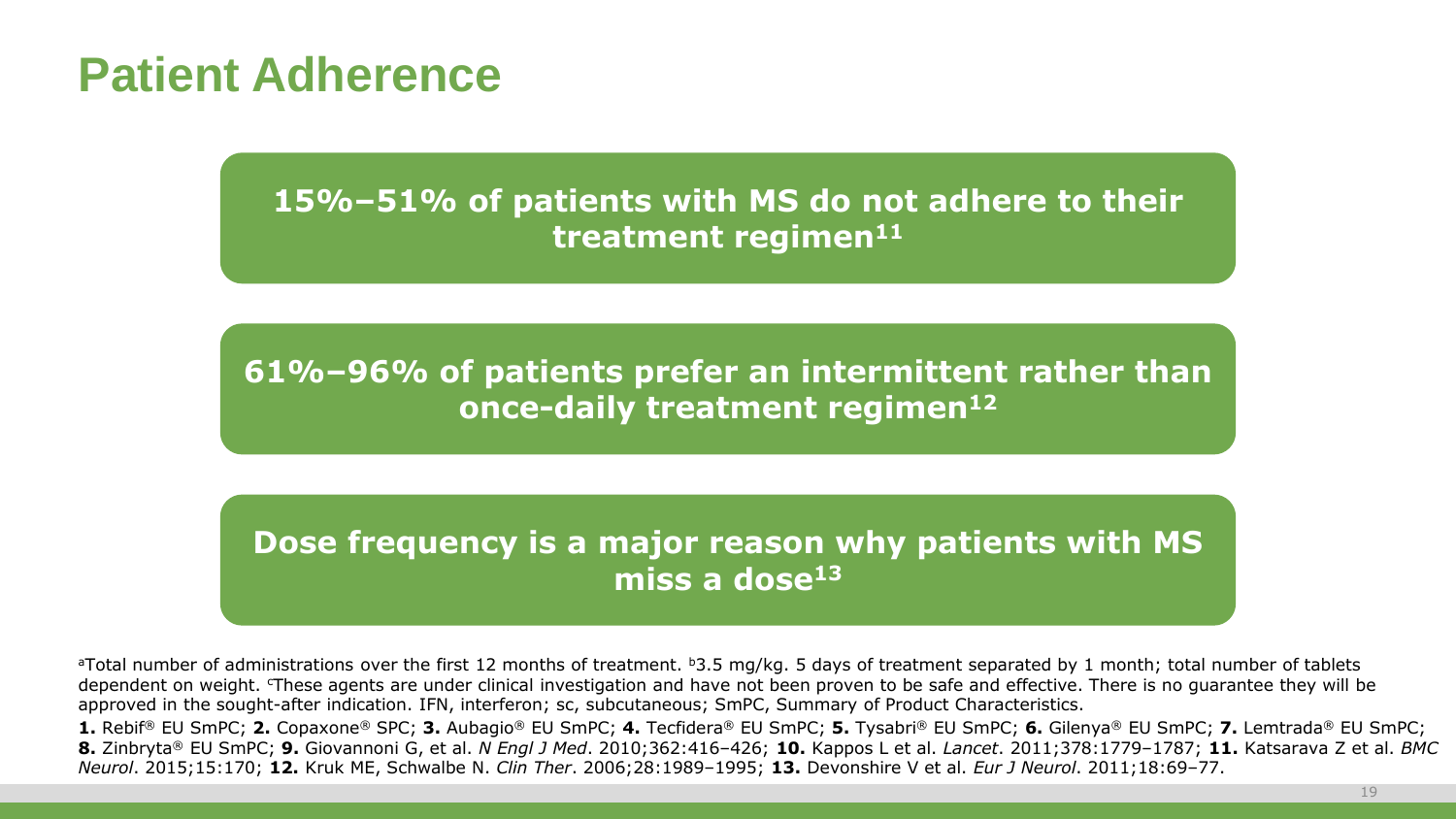#### **Patient Adherence**

#### **15%–51% of patients with MS do not adhere to their treatment regimen11**

**61%–96% of patients prefer an intermittent rather than once-daily treatment regimen12**

#### **Dose frequency is a major reason why patients with MS miss a dose13**

aTotal number of administrations over the first 12 months of treatment. b3.5 mg/kg. 5 days of treatment separated by 1 month; total number of tablets dependent on weight. These agents are under clinical investigation and have not been proven to be safe and effective. There is no guarantee they will be approved in the sought-after indication. IFN, interferon; sc, subcutaneous; SmPC, Summary of Product Characteristics.

**1.** Rebif® EU SmPC; **2.** Copaxone® SPC; **3.** Aubagio® EU SmPC; **4.** Tecfidera® EU SmPC; **5.** Tysabri® EU SmPC; **6.** Gilenya® EU SmPC; **7.** Lemtrada® EU SmPC; **8.** Zinbryta® EU SmPC; **9.** Giovannoni G, et al. *N Engl J Med*. 2010;362:416–426; **10.** Kappos L et al. *Lancet*. 2011;378:1779–1787; **11.** Katsarava Z et al. *BMC Neurol*. 2015;15:170; **12.** Kruk ME, Schwalbe N. *Clin Ther*. 2006;28:1989–1995; **13.** Devonshire V et al. *Eur J Neurol*. 2011;18:69–77.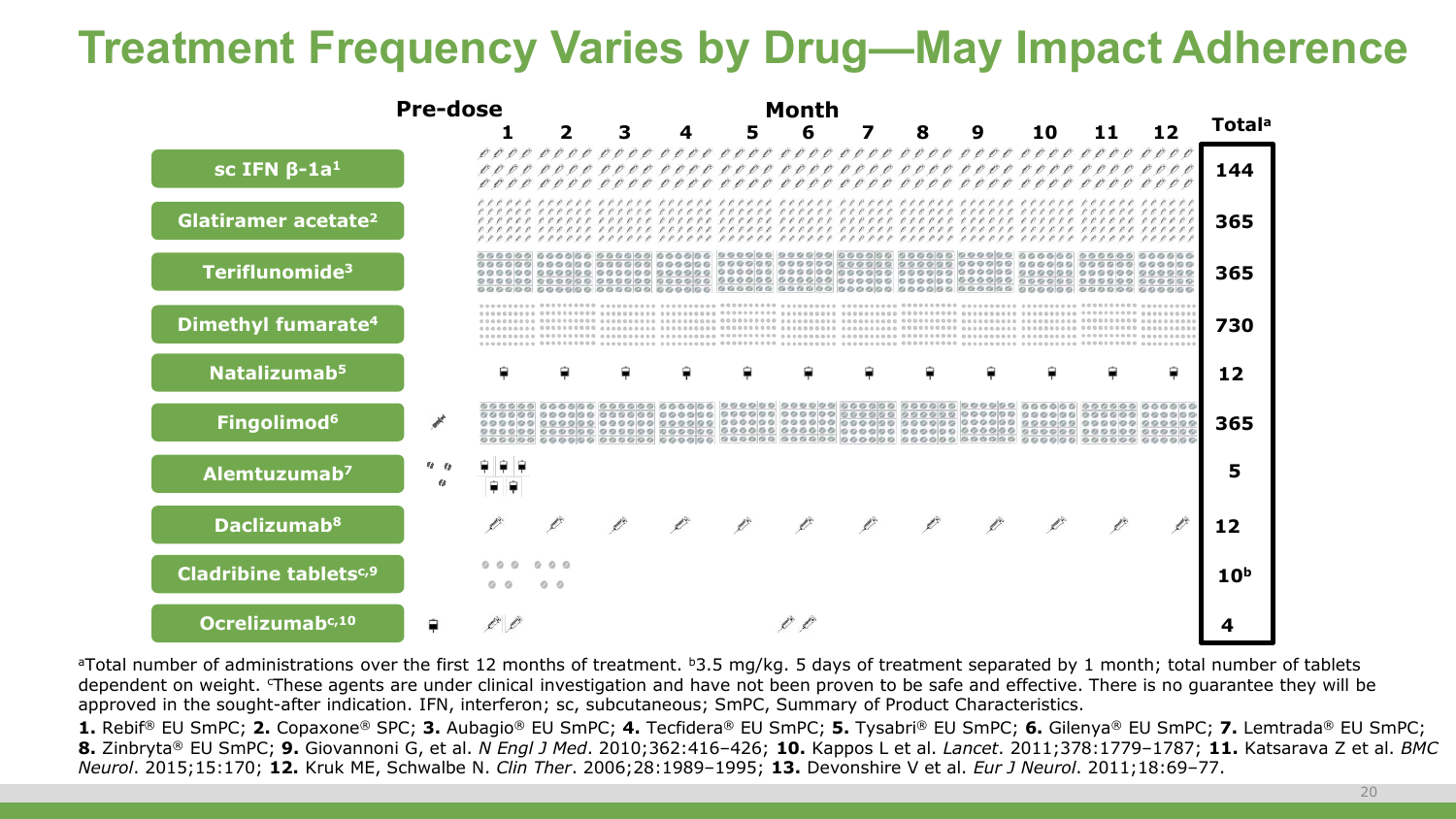#### **Treatment Frequency Varies by Drug—May Impact Adherence**

|                                   | <b>Pre-dose</b> |                                    |  |    | <b>Month</b> |   |   |   |    |     |    |                           |
|-----------------------------------|-----------------|------------------------------------|--|----|--------------|---|---|---|----|-----|----|---------------------------|
|                                   |                 |                                    |  | 5. | 6            | 7 | 8 | 9 | 10 | 11. | 12 | <b>Total</b> <sup>a</sup> |
| $SC$ IFN $\beta$ -1a <sup>1</sup> |                 |                                    |  |    |              |   |   |   |    |     |    | 144                       |
| Glatiramer acetate <sup>2</sup>   |                 |                                    |  |    |              |   |   |   |    |     |    | 365                       |
| Teriflunomide <sup>3</sup>        |                 |                                    |  |    |              |   |   |   |    |     |    | 365                       |
| Dimethyl fumarate <sup>4</sup>    |                 |                                    |  |    |              |   |   |   |    |     |    | 730                       |
| Natalizumab <sup>5</sup>          |                 |                                    |  |    |              |   |   |   |    |     | ₽  | 12                        |
| Fingolimod <sup>6</sup>           |                 |                                    |  |    |              |   |   |   |    |     |    | 365                       |
| Alemtuzumab <sup>7</sup>          |                 |                                    |  |    |              |   |   |   |    |     |    | 5                         |
| <b>Daclizumab</b> <sup>8</sup>    |                 |                                    |  |    |              |   |   |   |    |     |    | 12                        |
| Cladribine tablets <sup>c,9</sup> |                 | $\circ$ $\circ$<br>$\circ$ $\circ$ |  |    |              |   |   |   |    |     |    | 10 <sup>b</sup>           |
| Ocrelizumabc,10                   |                 |                                    |  |    |              |   |   |   |    |     |    |                           |

<sup>a</sup>Total number of administrations over the first 12 months of treatment. <sup>b</sup>3.5 mg/kg. 5 days of treatment separated by 1 month; total number of tablets dependent on weight. These agents are under clinical investigation and have not been proven to be safe and effective. There is no quarantee they will be approved in the sought-after indication. IFN, interferon; sc, subcutaneous; SmPC, Summary of Product Characteristics.

**1.** Rebif® EU SmPC; **2.** Copaxone® SPC; **3.** Aubagio® EU SmPC; **4.** Tecfidera® EU SmPC; **5.** Tysabri® EU SmPC; **6.** Gilenya® EU SmPC; **7.** Lemtrada® EU SmPC; **8.** Zinbryta® EU SmPC; **9.** Giovannoni G, et al. *N Engl J Med*. 2010;362:416–426; **10.** Kappos L et al. *Lancet*. 2011;378:1779–1787; **11.** Katsarava Z et al. *BMC Neurol*. 2015;15:170; **12.** Kruk ME, Schwalbe N. *Clin Ther*. 2006;28:1989–1995; **13.** Devonshire V et al. *Eur J Neurol*. 2011;18:69–77.